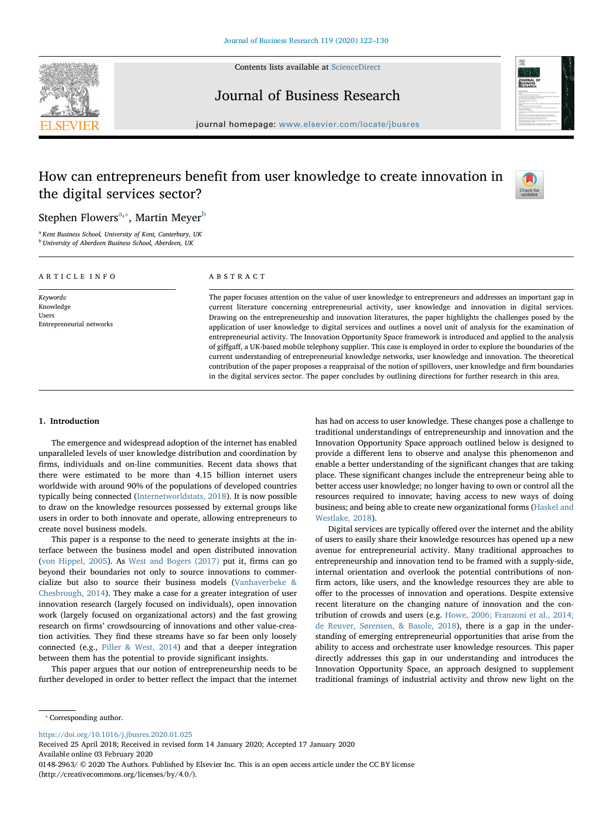Contents lists available at [ScienceDirect](http://www.sciencedirect.com/science/journal/01482963)







journal homepage: [www.elsevier.com/locate/jbusres](https://www.elsevier.com/locate/jbusres)

# How can entrepreneurs benefit from user knowledge to create innovation in the digital services sector?



Stephen Flowers $^{\mathrm{a},*}$ , Martin Meyer $^{\mathrm{b}}$  $^{\mathrm{b}}$  $^{\mathrm{b}}$ 

<span id="page-0-2"></span><span id="page-0-0"></span><sup>a</sup> Kent Business School, University of Kent, Canterbury, UK **b** University of Aberdeen Business School, Aberdeen, UK

| ARTICLE INFO                                                | ABSTRACT                                                                                                                                                                                                                                                                                                                                                                                                                                                                                                                                                                                                                                                                                                                                                                                                                                                                                                                                 |  |  |  |
|-------------------------------------------------------------|------------------------------------------------------------------------------------------------------------------------------------------------------------------------------------------------------------------------------------------------------------------------------------------------------------------------------------------------------------------------------------------------------------------------------------------------------------------------------------------------------------------------------------------------------------------------------------------------------------------------------------------------------------------------------------------------------------------------------------------------------------------------------------------------------------------------------------------------------------------------------------------------------------------------------------------|--|--|--|
| Keywords:<br>Knowledge<br>Users<br>Entrepreneurial networks | The paper focuses attention on the value of user knowledge to entrepreneurs and addresses an important gap in<br>current literature concerning entrepreneurial activity, user knowledge and innovation in digital services.<br>Drawing on the entrepreneurship and innovation literatures, the paper highlights the challenges posed by the<br>application of user knowledge to digital services and outlines a novel unit of analysis for the examination of<br>entrepreneurial activity. The Innovation Opportunity Space framework is introduced and applied to the analysis<br>of giffgaff, a UK-based mobile telephony supplier. This case is employed in order to explore the boundaries of the<br>current understanding of entrepreneurial knowledge networks, user knowledge and innovation. The theoretical<br>contribution of the paper proposes a reappraisal of the notion of spillovers, user knowledge and firm boundaries |  |  |  |

# 1. Introduction

The emergence and widespread adoption of the internet has enabled unparalleled levels of user knowledge distribution and coordination by firms, individuals and on-line communities. Recent data shows that there were estimated to be more than 4.15 billion internet users worldwide with around 90% of the populations of developed countries typically being connected [\(Internetworldstats, 2018](#page-7-0)). It is now possible to draw on the knowledge resources possessed by external groups like users in order to both innovate and operate, allowing entrepreneurs to create novel business models.

This paper is a response to the need to generate insights at the interface between the business model and open distributed innovation ([von Hippel, 2005](#page-8-0)). As [West and Bogers \(2017\)](#page-8-1) put it, firms can go beyond their boundaries not only to source innovations to commercialize but also to source their business models [\(Vanhaverbeke &](#page-8-2) [Chesbrough, 2014](#page-8-2)). They make a case for a greater integration of user innovation research (largely focused on individuals), open innovation work (largely focused on organizational actors) and the fast growing research on firms' crowdsourcing of innovations and other value-creation activities. They find these streams have so far been only loosely connected (e.g., [Piller & West, 2014](#page-8-3)) and that a deeper integration between them has the potential to provide significant insights.

This paper argues that our notion of entrepreneurship needs to be further developed in order to better reflect the impact that the internet has had on access to user knowledge. These changes pose a challenge to traditional understandings of entrepreneurship and innovation and the Innovation Opportunity Space approach outlined below is designed to provide a different lens to observe and analyse this phenomenon and enable a better understanding of the significant changes that are taking place. These significant changes include the entrepreneur being able to better access user knowledge; no longer having to own or control all the resources required to innovate; having access to new ways of doing business; and being able to create new organizational forms [\(Haskel and](#page-7-1) [Westlake, 2018](#page-7-1)).

in the digital services sector. The paper concludes by outlining directions for further research in this area.

Digital services are typically offered over the internet and the ability of users to easily share their knowledge resources has opened up a new avenue for entrepreneurial activity. Many traditional approaches to entrepreneurship and innovation tend to be framed with a supply-side, internal orientation and overlook the potential contributions of nonfirm actors, like users, and the knowledge resources they are able to offer to the processes of innovation and operations. Despite extensive recent literature on the changing nature of innovation and the contribution of crowds and users (e.g. [Howe, 2006; Franzoni et al., 2014;](#page-7-2) [de Reuver, Sørensen, & Basole, 2018\)](#page-7-2), there is a gap in the understanding of emerging entrepreneurial opportunities that arise from the ability to access and orchestrate user knowledge resources. This paper directly addresses this gap in our understanding and introduces the Innovation Opportunity Space, an approach designed to supplement traditional framings of industrial activity and throw new light on the

<https://doi.org/10.1016/j.jbusres.2020.01.025>

Received 25 April 2018; Received in revised form 14 January 2020; Accepted 17 January 2020

Available online 03 February 2020

0148-2963/ © 2020 The Authors. Published by Elsevier Inc. This is an open access article under the CC BY license (http://creativecommons.org/licenses/by/4.0/).

<span id="page-0-1"></span><sup>⁎</sup> Corresponding author.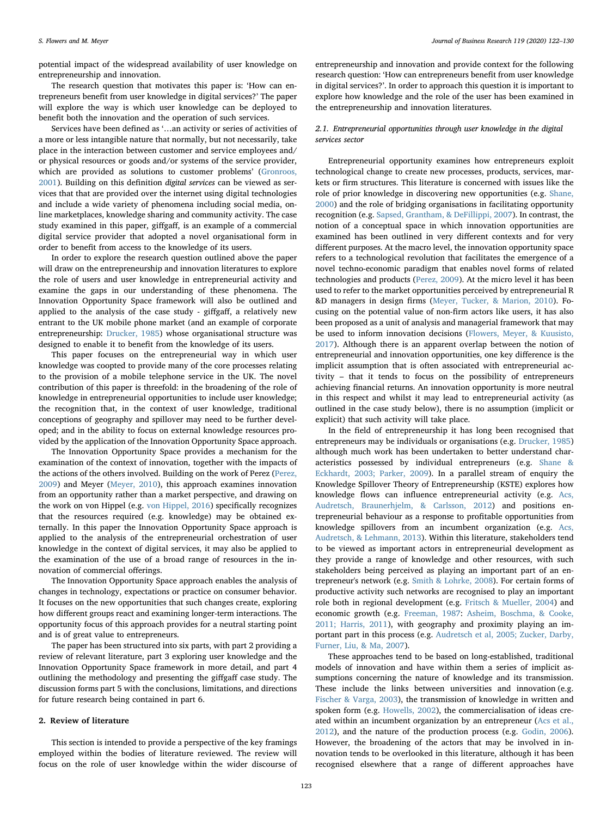potential impact of the widespread availability of user knowledge on entrepreneurship and innovation.

The research question that motivates this paper is: 'How can entrepreneurs benefit from user knowledge in digital services?' The paper will explore the way is which user knowledge can be deployed to benefit both the innovation and the operation of such services.

Services have been defined as '…an activity or series of activities of a more or less intangible nature that normally, but not necessarily, take place in the interaction between customer and service employees and/ or physical resources or goods and/or systems of the service provider, which are provided as solutions to customer problems' ([Gronroos,](#page-7-3) [2001\)](#page-7-3). Building on this definition digital services can be viewed as services that that are provided over the internet using digital technologies and include a wide variety of phenomena including social media, online marketplaces, knowledge sharing and community activity. The case study examined in this paper, giffgaff, is an example of a commercial digital service provider that adopted a novel organisational form in order to benefit from access to the knowledge of its users.

In order to explore the research question outlined above the paper will draw on the entrepreneurship and innovation literatures to explore the role of users and user knowledge in entrepreneurial activity and examine the gaps in our understanding of these phenomena. The Innovation Opportunity Space framework will also be outlined and applied to the analysis of the case study - giffgaff, a relatively new entrant to the UK mobile phone market (and an example of corporate entrepreneurship: [Drucker, 1985](#page-7-4)) whose organisational structure was designed to enable it to benefit from the knowledge of its users.

This paper focuses on the entrepreneurial way in which user knowledge was coopted to provide many of the core processes relating to the provision of a mobile telephone service in the UK. The novel contribution of this paper is threefold: in the broadening of the role of knowledge in entrepreneurial opportunities to include user knowledge; the recognition that, in the context of user knowledge, traditional conceptions of geography and spillover may need to be further developed; and in the ability to focus on external knowledge resources provided by the application of the Innovation Opportunity Space approach.

The Innovation Opportunity Space provides a mechanism for the examination of the context of innovation, together with the impacts of the actions of the others involved. Building on the work of Perez [\(Perez,](#page-8-4) [2009\)](#page-8-4) and Meyer [\(Meyer, 2010](#page-8-5)), this approach examines innovation from an opportunity rather than a market perspective, and drawing on the work on von Hippel (e.g. [von Hippel, 2016](#page-8-6)) specifically recognizes that the resources required (e.g. knowledge) may be obtained externally. In this paper the Innovation Opportunity Space approach is applied to the analysis of the entrepreneurial orchestration of user knowledge in the context of digital services, it may also be applied to the examination of the use of a broad range of resources in the innovation of commercial offerings.

The Innovation Opportunity Space approach enables the analysis of changes in technology, expectations or practice on consumer behavior. It focuses on the new opportunities that such changes create, exploring how different groups react and examining longer-term interactions. The opportunity focus of this approach provides for a neutral starting point and is of great value to entrepreneurs.

The paper has been structured into six parts, with part 2 providing a review of relevant literature, part 3 exploring user knowledge and the Innovation Opportunity Space framework in more detail, and part 4 outlining the methodology and presenting the giffgaff case study. The discussion forms part 5 with the conclusions, limitations, and directions for future research being contained in part 6.

#### 2. Review of literature

This section is intended to provide a perspective of the key framings employed within the bodies of literature reviewed. The review will focus on the role of user knowledge within the wider discourse of entrepreneurship and innovation and provide context for the following research question: 'How can entrepreneurs benefit from user knowledge in digital services?'. In order to approach this question it is important to explore how knowledge and the role of the user has been examined in the entrepreneurship and innovation literatures.

## <span id="page-1-0"></span>2.1. Entrepreneurial opportunities through user knowledge in the digital services sector

Entrepreneurial opportunity examines how entrepreneurs exploit technological change to create new processes, products, services, markets or firm structures. This literature is concerned with issues like the role of prior knowledge in discovering new opportunities (e.g. [Shane,](#page-8-7) [2000\)](#page-8-7) and the role of bridging organisations in facilitating opportunity recognition (e.g. [Sapsed, Grantham, & DeFillippi, 2007\)](#page-8-8). In contrast, the notion of a conceptual space in which innovation opportunities are examined has been outlined in very different contexts and for very different purposes. At the macro level, the innovation opportunity space refers to a technological revolution that facilitates the emergence of a novel techno-economic paradigm that enables novel forms of related technologies and products [\(Perez, 2009](#page-8-4)). At the micro level it has been used to refer to the market opportunities perceived by entrepreneurial R &D managers in design firms ([Meyer, Tucker, & Marion, 2010\)](#page-8-5). Focusing on the potential value of non-firm actors like users, it has also been proposed as a unit of analysis and managerial framework that may be used to inform innovation decisions ([Flowers, Meyer, & Kuusisto,](#page-7-5) [2017\)](#page-7-5). Although there is an apparent overlap between the notion of entrepreneurial and innovation opportunities, one key difference is the implicit assumption that is often associated with entrepreneurial activity – that it tends to focus on the possibility of entrepreneurs achieving financial returns. An innovation opportunity is more neutral in this respect and whilst it may lead to entrepreneurial activity (as outlined in the case study below), there is no assumption (implicit or explicit) that such activity will take place.

In the field of entrepreneurship it has long been recognised that entrepreneurs may be individuals or organisations (e.g. [Drucker, 1985\)](#page-7-4) although much work has been undertaken to better understand characteristics possessed by individual entrepreneurs (e.g. [Shane &](#page-8-9) [Eckhardt, 2003; Parker, 2009](#page-8-9)). In a parallel stream of enquiry the Knowledge Spillover Theory of Entrepreneurship (KSTE) explores how knowledge flows can influence entrepreneurial activity (e.g. [Acs,](#page-7-6) [Audretsch, Braunerhjelm, & Carlsson, 2012](#page-7-6)) and positions entrepreneurial behaviour as a response to profitable opportunities from knowledge spillovers from an incumbent organization (e.g. [Acs,](#page-7-7) [Audretsch, & Lehmann, 2013](#page-7-7)). Within this literature, stakeholders tend to be viewed as important actors in entrepreneurial development as they provide a range of knowledge and other resources, with such stakeholders being perceived as playing an important part of an entrepreneur's network (e.g. [Smith & Lohrke, 2008](#page-8-10)). For certain forms of productive activity such networks are recognised to play an important role both in regional development (e.g. [Fritsch & Mueller, 2004](#page-7-8)) and economic growth (e.g. [Freeman, 1987:](#page-7-9) [Asheim, Boschma, & Cooke,](#page-7-10) [2011; Harris, 2011\)](#page-7-10), with geography and proximity playing an important part in this process (e.g. [Audretsch et al, 2005; Zucker, Darby,](#page-7-11) [Furner, Liu, & Ma, 2007](#page-7-11)).

These approaches tend to be based on long-established, traditional models of innovation and have within them a series of implicit assumptions concerning the nature of knowledge and its transmission. These include the links between universities and innovation (e.g. [Fischer & Varga, 2003\)](#page-7-12), the transmission of knowledge in written and spoken form (e.g. [Howells, 2002\)](#page-7-13), the commercialisation of ideas created within an incumbent organization by an entrepreneur ([Acs et al.,](#page-7-6) [2012\)](#page-7-6), and the nature of the production process (e.g. [Godin, 2006](#page-7-14)). However, the broadening of the actors that may be involved in innovation tends to be overlooked in this literature, although it has been recognised elsewhere that a range of different approaches have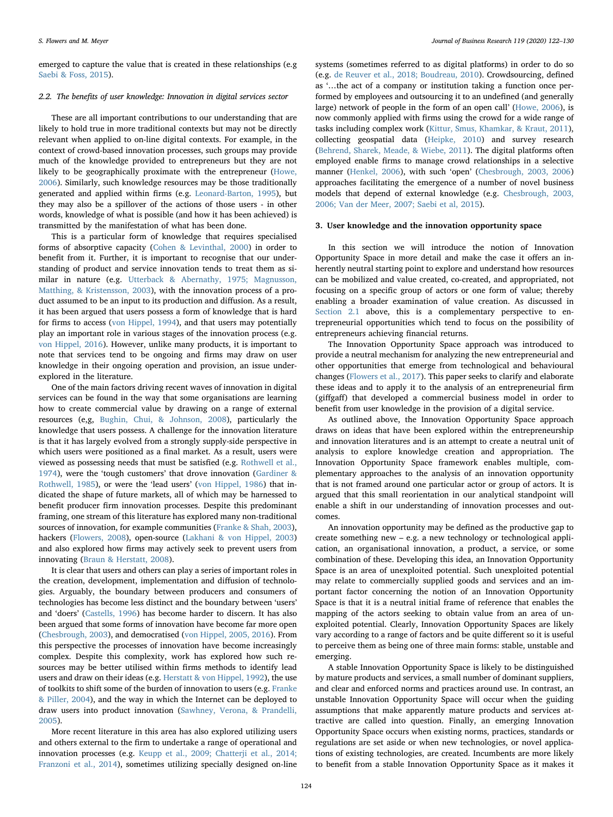emerged to capture the value that is created in these relationships (e.g [Saebi & Foss, 2015](#page-8-11)).

## 2.2. The benefits of user knowledge: Innovation in digital services sector

These are all important contributions to our understanding that are likely to hold true in more traditional contexts but may not be directly relevant when applied to on-line digital contexts. For example, in the context of crowd-based innovation processes, such groups may provide much of the knowledge provided to entrepreneurs but they are not likely to be geographically proximate with the entrepreneur [\(Howe,](#page-7-2) [2006\)](#page-7-2). Similarly, such knowledge resources may be those traditionally generated and applied within firms (e.g. [Leonard-Barton, 1995](#page-8-12)), but they may also be a spillover of the actions of those users - in other words, knowledge of what is possible (and how it has been achieved) is transmitted by the manifestation of what has been done.

This is a particular form of knowledge that requires specialised forms of absorptive capacity ([Cohen & Levinthal, 2000](#page-7-15)) in order to benefit from it. Further, it is important to recognise that our understanding of product and service innovation tends to treat them as similar in nature (e.g. [Utterback & Abernathy, 1975; Magnusson,](#page-8-13) [Matthing, & Kristensson, 2003\)](#page-8-13), with the innovation process of a product assumed to be an input to its production and diffusion. As a result, it has been argued that users possess a form of knowledge that is hard for firms to access ([von Hippel, 1994](#page-8-14)), and that users may potentially play an important role in various stages of the innovation process (e.g. [von Hippel, 2016](#page-8-6)). However, unlike many products, it is important to note that services tend to be ongoing and firms may draw on user knowledge in their ongoing operation and provision, an issue underexplored in the literature.

One of the main factors driving recent waves of innovation in digital services can be found in the way that some organisations are learning how to create commercial value by drawing on a range of external resources (e,g, [Bughin, Chui, & Johnson, 2008](#page-7-16)), particularly the knowledge that users possess. A challenge for the innovation literature is that it has largely evolved from a strongly supply-side perspective in which users were positioned as a final market. As a result, users were viewed as possessing needs that must be satisfied (e.g. [Rothwell et al.,](#page-8-15) [1974\)](#page-8-15), were the 'tough customers' that drove innovation ([Gardiner &](#page-7-17) [Rothwell, 1985\)](#page-7-17), or were the 'lead users' ([von Hippel, 1986\)](#page-8-16) that indicated the shape of future markets, all of which may be harnessed to benefit producer firm innovation processes. Despite this predominant framing, one stream of this literature has explored many non-traditional sources of innovation, for example communities [\(Franke & Shah, 2003](#page-7-18)), hackers [\(Flowers, 2008](#page-7-19)), open-source ([Lakhani & von Hippel, 2003\)](#page-8-17) and also explored how firms may actively seek to prevent users from innovating [\(Braun & Herstatt, 2008](#page-7-20)).

It is clear that users and others can play a series of important roles in the creation, development, implementation and diffusion of technologies. Arguably, the boundary between producers and consumers of technologies has become less distinct and the boundary between 'users' and 'doers' ([Castells, 1996\)](#page-7-21) has become harder to discern. It has also been argued that some forms of innovation have become far more open ([Chesbrough, 2003\)](#page-7-22), and democratised [\(von Hippel, 2005, 2016\)](#page-8-0). From this perspective the processes of innovation have become increasingly complex. Despite this complexity, work has explored how such resources may be better utilised within firms methods to identify lead users and draw on their ideas (e.g. [Herstatt & von Hippel, 1992\)](#page-7-23), the use of toolkits to shift some of the burden of innovation to users (e.g. [Franke](#page-7-24) [& Piller, 2004\)](#page-7-24), and the way in which the Internet can be deployed to draw users into product innovation ([Sawhney, Verona, & Prandelli,](#page-8-18) [2005\)](#page-8-18).

More recent literature in this area has also explored utilizing users and others external to the firm to undertake a range of operational and innovation processes (e.g. [Keupp et al., 2009; Chatterji et al., 2014;](#page-8-19) [Franzoni et al., 2014](#page-8-19)), sometimes utilizing specially designed on-line

systems (sometimes referred to as digital platforms) in order to do so (e.g. [de Reuver et al., 2018; Boudreau, 2010](#page-7-25)). Crowdsourcing, defined as '…the act of a company or institution taking a function once performed by employees and outsourcing it to an undefined (and generally large) network of people in the form of an open call' ([Howe, 2006](#page-7-2)), is now commonly applied with firms using the crowd for a wide range of tasks including complex work [\(Kittur, Smus, Khamkar, & Kraut, 2011](#page-8-20)), collecting geospatial data ([Heipke, 2010\)](#page-7-26) and survey research ([Behrend, Sharek, Meade, & Wiebe, 2011](#page-7-27)). The digital platforms often employed enable firms to manage crowd relationships in a selective manner [\(Henkel, 2006\)](#page-7-28), with such 'open' [\(Chesbrough, 2003, 2006\)](#page-7-29) approaches facilitating the emergence of a number of novel business models that depend of external knowledge (e.g. [Chesbrough, 2003,](#page-7-29) [2006; Van der Meer, 2007; Saebi et al, 2015\)](#page-7-29).

## <span id="page-2-0"></span>3. User knowledge and the innovation opportunity space

In this section we will introduce the notion of Innovation Opportunity Space in more detail and make the case it offers an inherently neutral starting point to explore and understand how resources can be mobilized and value created, co-created, and appropriated, not focusing on a specific group of actors or one form of value; thereby enabling a broader examination of value creation. As discussed in [Section 2.1](#page-1-0) above, this is a complementary perspective to entrepreneurial opportunities which tend to focus on the possibility of entrepreneurs achieving financial returns.

The Innovation Opportunity Space approach was introduced to provide a neutral mechanism for analyzing the new entrepreneurial and other opportunities that emerge from technological and behavioural changes ([Flowers et al., 2017\)](#page-7-5). This paper seeks to clarify and elaborate these ideas and to apply it to the analysis of an entrepreneurial firm (giffgaff) that developed a commercial business model in order to benefit from user knowledge in the provision of a digital service.

As outlined above, the Innovation Opportunity Space approach draws on ideas that have been explored within the entrepreneurship and innovation literatures and is an attempt to create a neutral unit of analysis to explore knowledge creation and appropriation. The Innovation Opportunity Space framework enables multiple, complementary approaches to the analysis of an innovation opportunity that is not framed around one particular actor or group of actors. It is argued that this small reorientation in our analytical standpoint will enable a shift in our understanding of innovation processes and outcomes.

An innovation opportunity may be defined as the productive gap to create something new – e.g. a new technology or technological application, an organisational innovation, a product, a service, or some combination of these. Developing this idea, an Innovation Opportunity Space is an area of unexploited potential. Such unexploited potential may relate to commercially supplied goods and services and an important factor concerning the notion of an Innovation Opportunity Space is that it is a neutral initial frame of reference that enables the mapping of the actors seeking to obtain value from an area of unexploited potential. Clearly, Innovation Opportunity Spaces are likely vary according to a range of factors and be quite different so it is useful to perceive them as being one of three main forms: stable, unstable and emerging.

A stable Innovation Opportunity Space is likely to be distinguished by mature products and services, a small number of dominant suppliers, and clear and enforced norms and practices around use. In contrast, an unstable Innovation Opportunity Space will occur when the guiding assumptions that make apparently mature products and services attractive are called into question. Finally, an emerging Innovation Opportunity Space occurs when existing norms, practices, standards or regulations are set aside or when new technologies, or novel applications of existing technologies, are created. Incumbents are more likely to benefit from a stable Innovation Opportunity Space as it makes it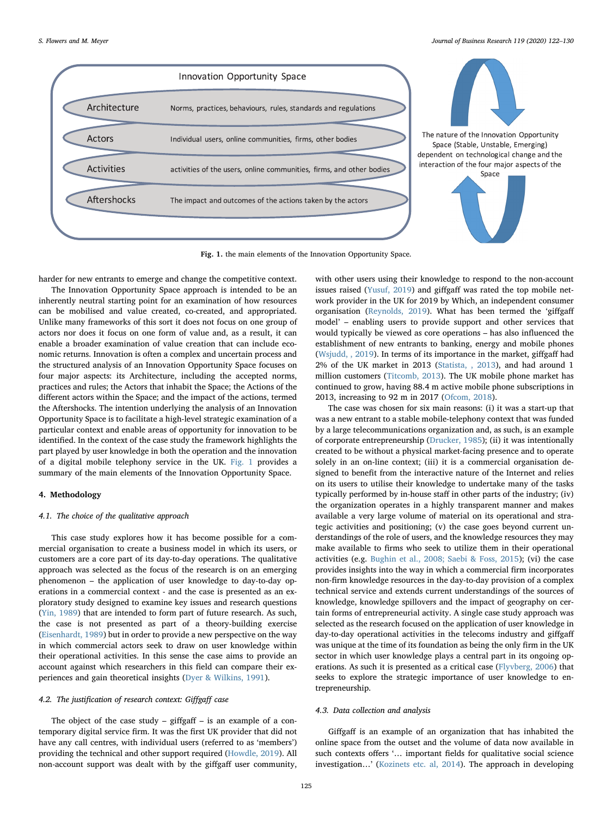<span id="page-3-0"></span>

Fig. 1. the main elements of the Innovation Opportunity Space.

harder for new entrants to emerge and change the competitive context.

The Innovation Opportunity Space approach is intended to be an inherently neutral starting point for an examination of how resources can be mobilised and value created, co-created, and appropriated. Unlike many frameworks of this sort it does not focus on one group of actors nor does it focus on one form of value and, as a result, it can enable a broader examination of value creation that can include economic returns. Innovation is often a complex and uncertain process and the structured analysis of an Innovation Opportunity Space focuses on four major aspects: its Architecture, including the accepted norms, practices and rules; the Actors that inhabit the Space; the Actions of the different actors within the Space; and the impact of the actions, termed the Aftershocks. The intention underlying the analysis of an Innovation Opportunity Space is to facilitate a high-level strategic examination of a particular context and enable areas of opportunity for innovation to be identified. In the context of the case study the framework highlights the part played by user knowledge in both the operation and the innovation of a digital mobile telephony service in the UK. [Fig. 1](#page-3-0) provides a summary of the main elements of the Innovation Opportunity Space.

#### 4. Methodology

## 4.1. The choice of the qualitative approach

This case study explores how it has become possible for a commercial organisation to create a business model in which its users, or customers are a core part of its day-to-day operations. The qualitative approach was selected as the focus of the research is on an emerging phenomenon – the application of user knowledge to day-to-day operations in a commercial context - and the case is presented as an exploratory study designed to examine key issues and research questions ([Yin, 1989](#page-8-21)) that are intended to form part of future research. As such, the case is not presented as part of a theory-building exercise ([Eisenhardt, 1989](#page-7-30)) but in order to provide a new perspective on the way in which commercial actors seek to draw on user knowledge within their operational activities. In this sense the case aims to provide an account against which researchers in this field can compare their experiences and gain theoretical insights [\(Dyer & Wilkins, 1991](#page-7-31)).

# 4.2. The justification of research context: Giffgaff case

The object of the case study  $-$  giffgaff  $-$  is an example of a contemporary digital service firm. It was the first UK provider that did not have any call centres, with individual users (referred to as 'members') providing the technical and other support required ([Howdle, 2019](#page-7-32)). All non-account support was dealt with by the giffgaff user community,

with other users using their knowledge to respond to the non-account issues raised [\(Yusuf, 2019](#page-8-22)) and giffgaff was rated the top mobile network provider in the UK for 2019 by Which, an independent consumer organisation ([Reynolds, 2019\)](#page-8-23). What has been termed the 'giffgaff model' – enabling users to provide support and other services that would typically be viewed as core operations – has also influenced the establishment of new entrants to banking, energy and mobile phones ([Wsjudd, , 2019](#page-8-24)). In terms of its importance in the market, giffgaff had 2% of the UK market in 2013 ([Statista, , 2013\)](#page-8-25), and had around 1 million customers [\(Titcomb, 2013](#page-8-26)). The UK mobile phone market has continued to grow, having 88.4 m active mobile phone subscriptions in 2013, increasing to 92 m in 2017 [\(Ofcom, 2018](#page-8-27)).

The case was chosen for six main reasons: (i) it was a start-up that was a new entrant to a stable mobile-telephony context that was funded by a large telecommunications organization and, as such, is an example of corporate entrepreneurship ([Drucker, 1985](#page-7-4)); (ii) it was intentionally created to be without a physical market-facing presence and to operate solely in an on-line context; (iii) it is a commercial organisation designed to benefit from the interactive nature of the Internet and relies on its users to utilise their knowledge to undertake many of the tasks typically performed by in-house staff in other parts of the industry; (iv) the organization operates in a highly transparent manner and makes available a very large volume of material on its operational and strategic activities and positioning; (v) the case goes beyond current understandings of the role of users, and the knowledge resources they may make available to firms who seek to utilize them in their operational activities (e.g. [Bughin et al., 2008; Saebi & Foss, 2015](#page-7-16)); (vi) the case provides insights into the way in which a commercial firm incorporates non-firm knowledge resources in the day-to-day provision of a complex technical service and extends current understandings of the sources of knowledge, knowledge spillovers and the impact of geography on certain forms of entrepreneurial activity. A single case study approach was selected as the research focused on the application of user knowledge in day-to-day operational activities in the telecoms industry and giffgaff was unique at the time of its foundation as being the only firm in the UK sector in which user knowledge plays a central part in its ongoing operations. As such it is presented as a critical case ([Flyvberg, 2006](#page-7-33)) that seeks to explore the strategic importance of user knowledge to entrepreneurship.

### 4.3. Data collection and analysis

Giffgaff is an example of an organization that has inhabited the online space from the outset and the volume of data now available in such contexts offers '… important fields for qualitative social science investigation…' [\(Kozinets etc. al, 2014](#page-8-28)). The approach in developing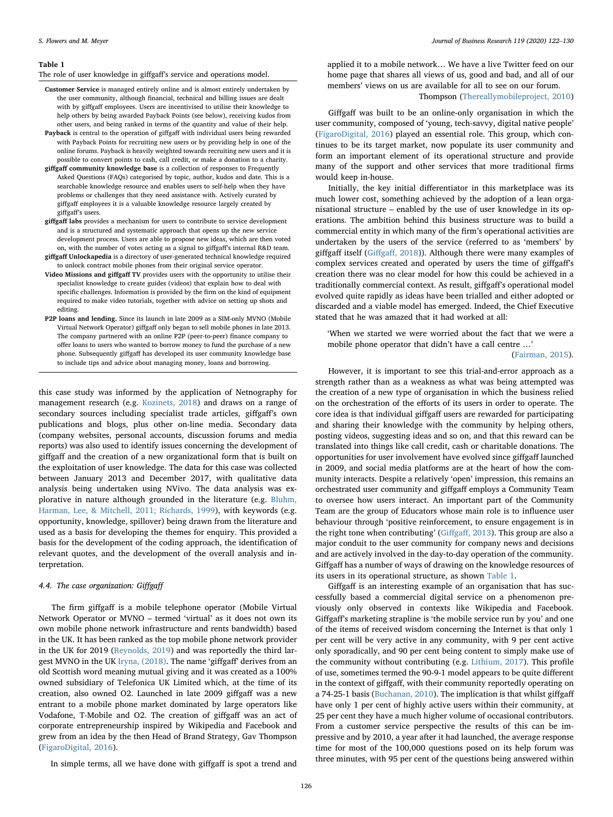#### <span id="page-4-0"></span>Table 1

The role of user knowledge in giffgaff's service and operations model.

- Customer Service is managed entirely online and is almost entirely undertaken by the user community, although financial, technical and billing issues are dealt with by giffgaff employees. Users are incentivised to utilise their knowledge to help others by being awarded Payback Points (see below), receiving kudos from other users, and being ranked in terms of the quantity and value of their help.
- Payback is central to the operation of giffgaff with individual users being rewarded with Payback Points for recruiting new users or by providing help in one of the online forums. Payback is heavily weighted towards recruiting new users and it is possible to convert points to cash, call credit, or make a donation to a charity.
- giffgaff community knowledge base is a collection of responses to Frequently Asked Questions (FAQs) categorised by topic, author, kudos and date. This is a searchable knowledge resource and enables users to self-help when they have problems or challenges that they need assistance with. Actively curated by giffgaff employees it is a valuable knowledge resource largely created by giffgaff's users.
- giffgaff labs provides a mechanism for users to contribute to service development and is a structured and systematic approach that opens up the new service development process. Users are able to propose new ideas, which are then voted on, with the number of votes acting as a signal to giffgaff's internal R&D team.
- giffgaff Unlockapedia is a directory of user-generated technical knowledge required to unlock contract mobile phones from their original service operator.
- Video Missions and giffgaff TV provides users with the opportunity to utilise their specialist knowledge to create guides (videos) that explain how to deal with specific challenges. Information is provided by the firm on the kind of equipment required to make video tutorials, together with advice on setting up shots and editing.
- P2P loans and lending. Since its launch in late 2009 as a SIM-only MVNO (Mobile Virtual Network Operator) giffgaff only began to sell mobile phones in late 2013. The company partnered with an online P2P (peer-to-peer) finance company to offer loans to users who wanted to borrow money to fund the purchase of a new phone. Subsequently giffgaff has developed its user community knowledge base to include tips and advice about managing money, loans and borrowing.

this case study was informed by the application of Netnography for management research (e.g. [Kozinets, 2018\)](#page-8-29) and draws on a range of secondary sources including specialist trade articles, giffgaff's own publications and blogs, plus other on-line media. Secondary data (company websites, personal accounts, discussion forums and media reports) was also used to identify issues concerning the development of giffgaff and the creation of a new organizational form that is built on the exploitation of user knowledge. The data for this case was collected between January 2013 and December 2017, with qualitative data analysis being undertaken using NVivo. The data analysis was explorative in nature although grounded in the literature (e.g. [Bluhm,](#page-7-34) [Harman, Lee, & Mitchell, 2011; Richards, 1999\)](#page-7-34), with keywords (e.g. opportunity, knowledge, spillover) being drawn from the literature and used as a basis for developing the themes for enquiry. This provided a basis for the development of the coding approach, the identification of relevant quotes, and the development of the overall analysis and interpretation.

## 4.4. The case organization: Giffgaff

The firm giffgaff is a mobile telephone operator (Mobile Virtual Network Operator or MVNO – termed 'virtual' as it does not own its own mobile phone network infrastructure and rents bandwidth) based in the UK. It has been ranked as the top mobile phone network provider in the UK for 2019 ([Reynolds, 2019\)](#page-8-23) and was reportedly the third largest MVNO in the UK [Iryna, \(2018\).](#page-7-35) The name 'giffgaff' derives from an old Scottish word meaning mutual giving and it was created as a 100% owned subsidiary of Telefonica UK Limited which, at the time of its creation, also owned O2. Launched in late 2009 giffgaff was a new entrant to a mobile phone market dominated by large operators like Vodafone, T-Mobile and O2. The creation of giffgaff was an act of corporate entrepreneurship inspired by Wikipedia and Facebook and grew from an idea by the then Head of Brand Strategy, Gav Thompson ([FigaroDigital, 2016\)](#page-7-36).

In simple terms, all we have done with giffgaff is spot a trend and

applied it to a mobile network… We have a live Twitter feed on our home page that shares all views of us, good and bad, and all of our members' views on us are available for all to see on our forum.

# Thompson ([Thereallymobileproject, 2010\)](#page-8-30)

Giffgaff was built to be an online-only organisation in which the user community, composed of 'young, tech-savvy, digital native people' ([FigaroDigital, 2016\)](#page-7-36) played an essential role. This group, which continues to be its target market, now populate its user community and form an important element of its operational structure and provide many of the support and other services that more traditional firms would keep in-house.

Initially, the key initial differentiator in this marketplace was its much lower cost, something achieved by the adoption of a lean organisational structure – enabled by the use of user knowledge in its operations. The ambition behind this business structure was to build a commercial entity in which many of the firm's operational activities are undertaken by the users of the service (referred to as 'members' by giffgaff itself (Giffgaff[, 2018\)](#page-7-37)). Although there were many examples of complex services created and operated by users the time of giffgaff's creation there was no clear model for how this could be achieved in a traditionally commercial context. As result, giffgaff's operational model evolved quite rapidly as ideas have been trialled and either adopted or discarded and a viable model has emerged. Indeed, the Chief Executive stated that he was amazed that it had worked at all:

'When we started we were worried about the fact that we were a mobile phone operator that didn't have a call centre …'

#### [\(Fairman, 2015](#page-7-38)).

However, it is important to see this trial-and-error approach as a strength rather than as a weakness as what was being attempted was the creation of a new type of organisation in which the business relied on the orchestration of the efforts of its users in order to operate. The core idea is that individual giffgaff users are rewarded for participating and sharing their knowledge with the community by helping others, posting videos, suggesting ideas and so on, and that this reward can be translated into things like call credit, cash or charitable donations. The opportunities for user involvement have evolved since giffgaff launched in 2009, and social media platforms are at the heart of how the community interacts. Despite a relatively 'open' impression, this remains an orchestrated user community and giffgaff employs a Community Team to oversee how users interact. An important part of the Community Team are the group of Educators whose main role is to influence user behaviour through 'positive reinforcement, to ensure engagement is in the right tone when contributing' (Giffgaff[, 2013](#page-7-39)). This group are also a major conduit to the user community for company news and decisions and are actively involved in the day-to-day operation of the community. Giffgaff has a number of ways of drawing on the knowledge resources of its users in its operational structure, as shown [Table 1](#page-4-0).

Giffgaff is an interesting example of an organisation that has successfully based a commercial digital service on a phenomenon previously only observed in contexts like Wikipedia and Facebook. Giffgaff's marketing strapline is 'the mobile service run by you' and one of the items of received wisdom concerning the Internet is that only 1 per cent will be very active in any community, with 9 per cent active only sporadically, and 90 per cent being content to simply make use of the community without contributing (e.g. [Lithium, 2017\)](#page-8-31). This profile of use, sometimes termed the 90-9-1 model appears to be quite different in the context of giffgaff, with their community reportedly operating on a 74-25-1 basis [\(Buchanan, 2010](#page-7-40)). The implication is that whilst giffgaff have only 1 per cent of highly active users within their community, at 25 per cent they have a much higher volume of occasional contributors. From a customer service perspective the results of this can be impressive and by 2010, a year after it had launched, the average response time for most of the 100,000 questions posed on its help forum was three minutes, with 95 per cent of the questions being answered within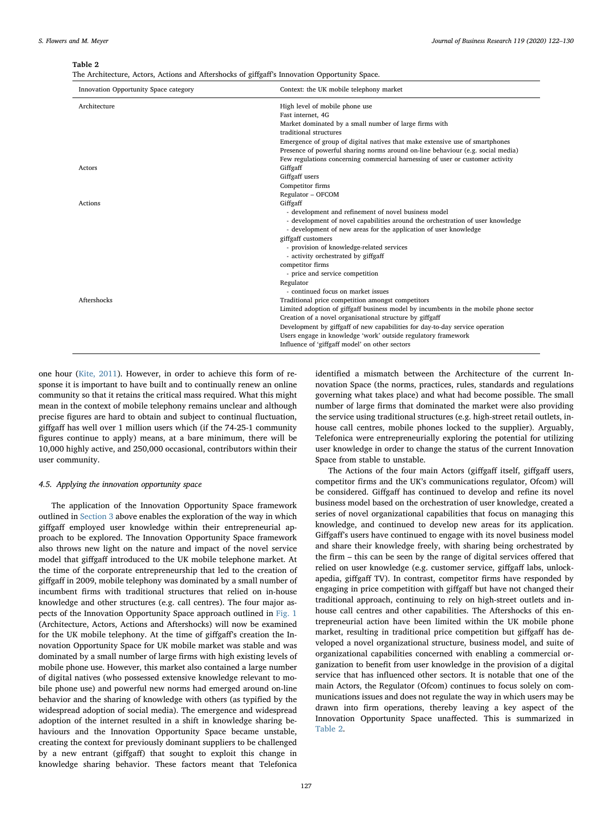<span id="page-5-0"></span>Table 2

|  |  |  |  |  |  | The Architecture, Actors, Actions and Aftershocks of giffgaff's Innovation Opportunity Space. |  |
|--|--|--|--|--|--|-----------------------------------------------------------------------------------------------|--|
|--|--|--|--|--|--|-----------------------------------------------------------------------------------------------|--|

| Innovation Opportunity Space category | Context: the UK mobile telephony market                                              |
|---------------------------------------|--------------------------------------------------------------------------------------|
| Architecture                          | High level of mobile phone use                                                       |
|                                       | Fast internet, 4G                                                                    |
|                                       | Market dominated by a small number of large firms with                               |
|                                       | traditional structures                                                               |
|                                       | Emergence of group of digital natives that make extensive use of smartphones         |
|                                       | Presence of powerful sharing norms around on-line behaviour (e.g. social media)      |
|                                       | Few regulations concerning commercial harnessing of user or customer activity        |
| Actors                                | Giffgaff                                                                             |
|                                       | Giffgaff users                                                                       |
|                                       | Competitor firms                                                                     |
|                                       | Regulator - OFCOM                                                                    |
| Actions                               | Giffgaff                                                                             |
|                                       | - development and refinement of novel business model                                 |
|                                       | - development of novel capabilities around the orchestration of user knowledge       |
|                                       | - development of new areas for the application of user knowledge                     |
|                                       | giffgaff customers                                                                   |
|                                       | - provision of knowledge-related services                                            |
|                                       | - activity orchestrated by giffgaff                                                  |
|                                       | competitor firms                                                                     |
|                                       | - price and service competition                                                      |
|                                       | Regulator                                                                            |
|                                       | - continued focus on market issues                                                   |
| Aftershocks                           | Traditional price competition amongst competitors                                    |
|                                       | Limited adoption of giffgaff business model by incumbents in the mobile phone sector |
|                                       | Creation of a novel organisational structure by giffgaff                             |
|                                       | Development by giffgaff of new capabilities for day-to-day service operation         |
|                                       | Users engage in knowledge 'work' outside regulatory framework                        |
|                                       | Influence of 'giffgaff model' on other sectors                                       |

one hour [\(Kite, 2011](#page-8-32)). However, in order to achieve this form of response it is important to have built and to continually renew an online community so that it retains the critical mass required. What this might mean in the context of mobile telephony remains unclear and although precise figures are hard to obtain and subject to continual fluctuation, giffgaff has well over 1 million users which (if the 74-25-1 community figures continue to apply) means, at a bare minimum, there will be 10,000 highly active, and 250,000 occasional, contributors within their user community.

## 4.5. Applying the innovation opportunity space

The application of the Innovation Opportunity Space framework outlined in [Section 3](#page-2-0) above enables the exploration of the way in which giffgaff employed user knowledge within their entrepreneurial approach to be explored. The Innovation Opportunity Space framework also throws new light on the nature and impact of the novel service model that giffgaff introduced to the UK mobile telephone market. At the time of the corporate entrepreneurship that led to the creation of giffgaff in 2009, mobile telephony was dominated by a small number of incumbent firms with traditional structures that relied on in-house knowledge and other structures (e.g. call centres). The four major aspects of the Innovation Opportunity Space approach outlined in [Fig. 1](#page-3-0) (Architecture, Actors, Actions and Aftershocks) will now be examined for the UK mobile telephony. At the time of giffgaff's creation the Innovation Opportunity Space for UK mobile market was stable and was dominated by a small number of large firms with high existing levels of mobile phone use. However, this market also contained a large number of digital natives (who possessed extensive knowledge relevant to mobile phone use) and powerful new norms had emerged around on-line behavior and the sharing of knowledge with others (as typified by the widespread adoption of social media). The emergence and widespread adoption of the internet resulted in a shift in knowledge sharing behaviours and the Innovation Opportunity Space became unstable, creating the context for previously dominant suppliers to be challenged by a new entrant (giffgaff) that sought to exploit this change in knowledge sharing behavior. These factors meant that Telefonica

identified a mismatch between the Architecture of the current Innovation Space (the norms, practices, rules, standards and regulations governing what takes place) and what had become possible. The small number of large firms that dominated the market were also providing the service using traditional structures (e.g. high-street retail outlets, inhouse call centres, mobile phones locked to the supplier). Arguably, Telefonica were entrepreneurially exploring the potential for utilizing user knowledge in order to change the status of the current Innovation Space from stable to unstable.

The Actions of the four main Actors (giffgaff itself, giffgaff users, competitor firms and the UK's communications regulator, Ofcom) will be considered. Giffgaff has continued to develop and refine its novel business model based on the orchestration of user knowledge, created a series of novel organizational capabilities that focus on managing this knowledge, and continued to develop new areas for its application. Giffgaff's users have continued to engage with its novel business model and share their knowledge freely, with sharing being orchestrated by the firm – this can be seen by the range of digital services offered that relied on user knowledge (e.g. customer service, giffgaff labs, unlockapedia, giffgaff TV). In contrast, competitor firms have responded by engaging in price competition with giffgaff but have not changed their traditional approach, continuing to rely on high-street outlets and inhouse call centres and other capabilities. The Aftershocks of this entrepreneurial action have been limited within the UK mobile phone market, resulting in traditional price competition but giffgaff has developed a novel organizational structure, business model, and suite of organizational capabilities concerned with enabling a commercial organization to benefit from user knowledge in the provision of a digital service that has influenced other sectors. It is notable that one of the main Actors, the Regulator (Ofcom) continues to focus solely on communications issues and does not regulate the way in which users may be drawn into firm operations, thereby leaving a key aspect of the Innovation Opportunity Space unaffected. This is summarized in [Table 2](#page-5-0).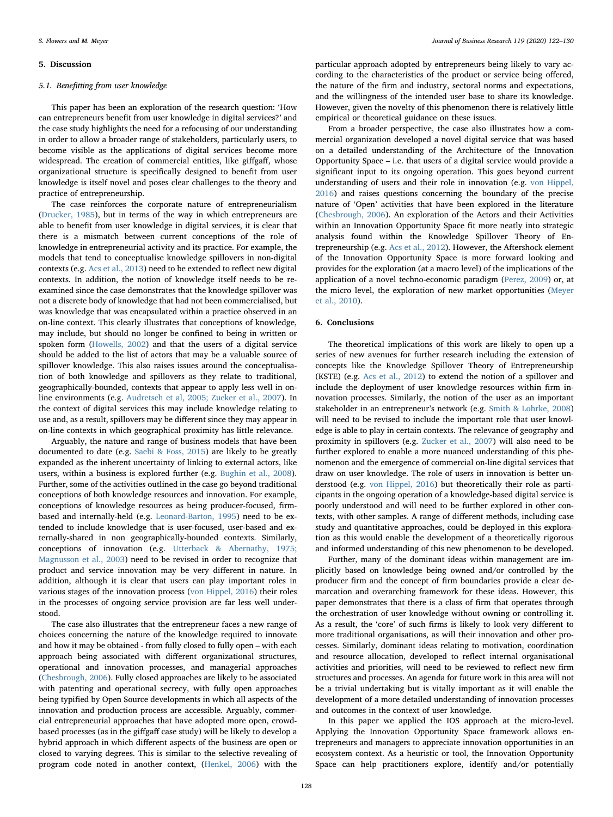#### 5. Discussion

## 5.1. Benefitting from user knowledge

This paper has been an exploration of the research question: 'How can entrepreneurs benefit from user knowledge in digital services?' and the case study highlights the need for a refocusing of our understanding in order to allow a broader range of stakeholders, particularly users, to become visible as the applications of digital services become more widespread. The creation of commercial entities, like giffgaff, whose organizational structure is specifically designed to benefit from user knowledge is itself novel and poses clear challenges to the theory and practice of entrepreneurship.

The case reinforces the corporate nature of entrepreneurialism ([Drucker, 1985](#page-7-4)), but in terms of the way in which entrepreneurs are able to benefit from user knowledge in digital services, it is clear that there is a mismatch between current conceptions of the role of knowledge in entrepreneurial activity and its practice. For example, the models that tend to conceptualise knowledge spillovers in non-digital contexts (e.g. [Acs et al., 2013\)](#page-7-7) need to be extended to reflect new digital contexts. In addition, the notion of knowledge itself needs to be reexamined since the case demonstrates that the knowledge spillover was not a discrete body of knowledge that had not been commercialised, but was knowledge that was encapsulated within a practice observed in an on-line context. This clearly illustrates that conceptions of knowledge, may include, but should no longer be confined to being in written or spoken form ([Howells, 2002\)](#page-7-13) and that the users of a digital service should be added to the list of actors that may be a valuable source of spillover knowledge. This also raises issues around the conceptualisation of both knowledge and spillovers as they relate to traditional, geographically-bounded, contexts that appear to apply less well in online environments (e.g. [Audretsch et al, 2005; Zucker et al., 2007](#page-7-11)). In the context of digital services this may include knowledge relating to use and, as a result, spillovers may be different since they may appear in on-line contexts in which geographical proximity has little relevance.

Arguably, the nature and range of business models that have been documented to date (e.g. [Saebi & Foss, 2015\)](#page-8-11) are likely to be greatly expanded as the inherent uncertainty of linking to external actors, like users, within a business is explored further (e.g. [Bughin et al., 2008](#page-7-16)). Further, some of the activities outlined in the case go beyond traditional conceptions of both knowledge resources and innovation. For example, conceptions of knowledge resources as being producer-focused, firmbased and internally-held (e.g. [Leonard-Barton, 1995\)](#page-8-12) need to be extended to include knowledge that is user-focused, user-based and externally-shared in non geographically-bounded contexts. Similarly, conceptions of innovation (e.g. [Utterback & Abernathy, 1975;](#page-8-13) [Magnusson et al., 2003](#page-8-13)) need to be revised in order to recognize that product and service innovation may be very different in nature. In addition, although it is clear that users can play important roles in various stages of the innovation process [\(von Hippel, 2016\)](#page-8-6) their roles in the processes of ongoing service provision are far less well understood.

The case also illustrates that the entrepreneur faces a new range of choices concerning the nature of the knowledge required to innovate and how it may be obtained - from fully closed to fully open – with each approach being associated with different organizational structures, operational and innovation processes, and managerial approaches ([Chesbrough, 2006\)](#page-7-29). Fully closed approaches are likely to be associated with patenting and operational secrecy, with fully open approaches being typified by Open Source developments in which all aspects of the innovation and production process are accessible. Arguably, commercial entrepreneurial approaches that have adopted more open, crowdbased processes (as in the giffgaff case study) will be likely to develop a hybrid approach in which different aspects of the business are open or closed to varying degrees. This is similar to the selective revealing of program code noted in another context, ([Henkel, 2006\)](#page-7-28) with the

particular approach adopted by entrepreneurs being likely to vary according to the characteristics of the product or service being offered, the nature of the firm and industry, sectoral norms and expectations, and the willingness of the intended user base to share its knowledge. However, given the novelty of this phenomenon there is relatively little empirical or theoretical guidance on these issues.

From a broader perspective, the case also illustrates how a commercial organization developed a novel digital service that was based on a detailed understanding of the Architecture of the Innovation Opportunity Space – i.e. that users of a digital service would provide a significant input to its ongoing operation. This goes beyond current understanding of users and their role in innovation (e.g. [von Hippel,](#page-8-6) [2016\)](#page-8-6) and raises questions concerning the boundary of the precise nature of 'Open' activities that have been explored in the literature ([Chesbrough, 2006\)](#page-7-29). An exploration of the Actors and their Activities within an Innovation Opportunity Space fit more neatly into strategic analysis found within the Knowledge Spillover Theory of Entrepreneurship (e.g. [Acs et al., 2012\)](#page-7-6). However, the Aftershock element of the Innovation Opportunity Space is more forward looking and provides for the exploration (at a macro level) of the implications of the application of a novel techno-economic paradigm [\(Perez, 2009](#page-8-4)) or, at the micro level, the exploration of new market opportunities ([Meyer](#page-8-5) [et al., 2010](#page-8-5)).

# 6. Conclusions

The theoretical implications of this work are likely to open up a series of new avenues for further research including the extension of concepts like the Knowledge Spillover Theory of Entrepreneurship (KSTE) (e.g. [Acs et al., 2012](#page-7-6)) to extend the notion of a spillover and include the deployment of user knowledge resources within firm innovation processes. Similarly, the notion of the user as an important stakeholder in an entrepreneur's network (e.g. [Smith & Lohrke, 2008\)](#page-8-10) will need to be revised to include the important role that user knowledge is able to play in certain contexts. The relevance of geography and proximity in spillovers (e.g. [Zucker et al., 2007](#page-8-33)) will also need to be further explored to enable a more nuanced understanding of this phenomenon and the emergence of commercial on-line digital services that draw on user knowledge. The role of users in innovation is better understood (e.g. [von Hippel, 2016](#page-8-6)) but theoretically their role as participants in the ongoing operation of a knowledge-based digital service is poorly understood and will need to be further explored in other contexts, with other samples. A range of different methods, including case study and quantitative approaches, could be deployed in this exploration as this would enable the development of a theoretically rigorous and informed understanding of this new phenomenon to be developed.

Further, many of the dominant ideas within management are implicitly based on knowledge being owned and/or controlled by the producer firm and the concept of firm boundaries provide a clear demarcation and overarching framework for these ideas. However, this paper demonstrates that there is a class of firm that operates through the orchestration of user knowledge without owning or controlling it. As a result, the 'core' of such firms is likely to look very different to more traditional organisations, as will their innovation and other processes. Similarly, dominant ideas relating to motivation, coordination and resource allocation, developed to reflect internal organisational activities and priorities, will need to be reviewed to reflect new firm structures and processes. An agenda for future work in this area will not be a trivial undertaking but is vitally important as it will enable the development of a more detailed understanding of innovation processes and outcomes in the context of user knowledge.

In this paper we applied the IOS approach at the micro-level. Applying the Innovation Opportunity Space framework allows entrepreneurs and managers to appreciate innovation opportunities in an ecosystem context. As a heuristic or tool, the Innovation Opportunity Space can help practitioners explore, identify and/or potentially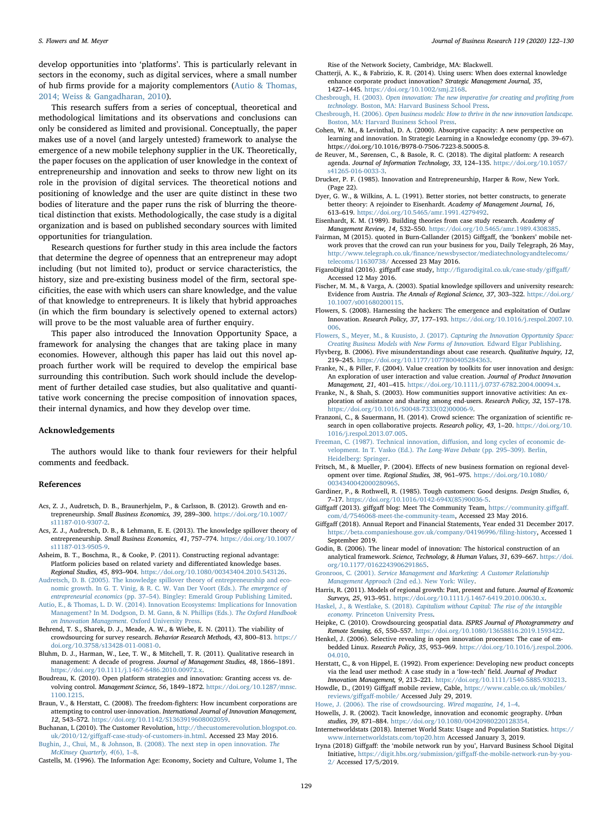develop opportunities into 'platforms'. This is particularly relevant in sectors in the economy, such as digital services, where a small number of hub firms provide for a majority complementors ([Autio & Thomas,](#page-7-41) [2014; Weiss & Gangadharan, 2010](#page-7-41)).

This research suffers from a series of conceptual, theoretical and methodological limitations and its observations and conclusions can only be considered as limited and provisional. Conceptually, the paper makes use of a novel (and largely untested) framework to analyse the emergence of a new mobile telephony supplier in the UK. Theoretically, the paper focuses on the application of user knowledge in the context of entrepreneurship and innovation and seeks to throw new light on its role in the provision of digital services. The theoretical notions and positioning of knowledge and the user are quite distinct in these two bodies of literature and the paper runs the risk of blurring the theoretical distinction that exists. Methodologically, the case study is a digital organization and is based on published secondary sources with limited opportunities for triangulation.

Research questions for further study in this area include the factors that determine the degree of openness that an entrepreneur may adopt including (but not limited to), product or service characteristics, the history, size and pre-existing business model of the firm, sectoral specificities, the ease with which users can share knowledge, and the value of that knowledge to entrepreneurs. It is likely that hybrid approaches (in which the firm boundary is selectively opened to external actors) will prove to be the most valuable area of further enquiry.

This paper also introduced the Innovation Opportunity Space, a framework for analysing the changes that are taking place in many economies. However, although this paper has laid out this novel approach further work will be required to develop the empirical base surrounding this contribution. Such work should include the development of further detailed case studies, but also qualitative and quantitative work concerning the precise composition of innovation spaces, their internal dynamics, and how they develop over time.

#### Acknowledgements

The authors would like to thank four reviewers for their helpful comments and feedback.

#### References

- <span id="page-7-6"></span>Acs, Z. J., Audretsch, D. B., Braunerhjelm, P., & Carlsson, B. (2012). Growth and entrepreneurship. Small Business Economics, 39, 289–300. [https://doi.org/10.1007/](https://doi.org/10.1007/s11187-010-9307-2) [s11187-010-9307-2.](https://doi.org/10.1007/s11187-010-9307-2)
- <span id="page-7-7"></span>Acs, Z. J., Audretsch, D. B., & Lehmann, E. E. (2013). The knowledge spillover theory of entrepreneurship. Small Business Economics, 41, 757–774. [https://doi.org/10.1007/](https://doi.org/10.1007/s11187-013-9505-9) [s11187-013-9505-9.](https://doi.org/10.1007/s11187-013-9505-9)
- <span id="page-7-10"></span>Asheim, B. T., Boschma, R., & Cooke, P. (2011). Constructing regional advantage: Platform policies based on related variety and differentiated knowledge bases. Regional Studies, 45, 893–904. [https://doi.org/10.1080/00343404.2010.543126.](https://doi.org/10.1080/00343404.2010.543126)
- <span id="page-7-11"></span>[Audretsch, D. B. \(2005\). The knowledge spillover theory of entrepreneurship and eco](http://refhub.elsevier.com/S0148-2963(20)30039-4/h0020)[nomic growth. In G. T. Vinig, & R. C. W. Van Der Voort \(Eds.\).](http://refhub.elsevier.com/S0148-2963(20)30039-4/h0020) The emergence of entrepreneurial economics (pp. 37–[54\). Bingley: Emerald Group Publishing Limited](http://refhub.elsevier.com/S0148-2963(20)30039-4/h0020).
- <span id="page-7-41"></span>[Autio, E., & Thomas, L. D. W. \(2014\). Innovation Ecosystems: Implications for Innovation](http://refhub.elsevier.com/S0148-2963(20)30039-4/h0025) [Management? In M. Dodgson, D. M. Gann, & N. Phillips \(Eds.\).](http://refhub.elsevier.com/S0148-2963(20)30039-4/h0025) The Oxford Handbook [on Innovation Management](http://refhub.elsevier.com/S0148-2963(20)30039-4/h0025). Oxford University Press.
- <span id="page-7-27"></span>Behrend, T. S., Sharek, D. J., Meade, A. W., & Wiebe, E. N. (2011). The viability of crowdsourcing for survey research. Behavior Research Methods, 43, 800–813. [https://](https://doi.org/10.3758/s13428-011-0081-0) [doi.org/10.3758/s13428-011-0081-0.](https://doi.org/10.3758/s13428-011-0081-0)
- <span id="page-7-34"></span>Bluhm, D. J., Harman, W., Lee, T. W., & Mitchell, T. R. (2011). Qualitative research in management: A decade of progress. Journal of Management Studies, 48, 1866–1891. [https://doi.org/10.1111/j.1467-6486.2010.00972.x.](https://doi.org/10.1111/j.1467-6486.2010.00972.x)
- Boudreau, K. (2010). Open platform strategies and innovation: Granting access vs. devolving control. Management Science, 56, 1849–1872. [https://doi.org/10.1287/mnsc.](https://doi.org/10.1287/mnsc.1100.1215) [1100.1215](https://doi.org/10.1287/mnsc.1100.1215).
- <span id="page-7-20"></span>Braun, V., & Herstatt, C. (2008). The freedom-fighters: How incumbent corporations are attempting to control user-innovation. International Journal of Innovation Management, 12, 543–572. [https://doi.org/10.1142/S1363919608002059.](https://doi.org/10.1142/S1363919608002059)
- <span id="page-7-40"></span>Buchanan, L (2010). The Customer Revolution, [http://thecustomerevolution.blogspot.co.](http://thecustomerevolution.blogspot.co.uk/2010/12/giffgaff-case-study-of-customers-in.html) uk/2010/12/giffgaff[-case-study-of-customers-in.html](http://thecustomerevolution.blogspot.co.uk/2010/12/giffgaff-case-study-of-customers-in.html). Accessed 23 May 2016.
- <span id="page-7-16"></span>[Bughin, J., Chui, M., & Johnson, B. \(2008\). The next step in open innovation.](http://refhub.elsevier.com/S0148-2963(20)30039-4/h0055) The [McKinsey Quarterly, 4](http://refhub.elsevier.com/S0148-2963(20)30039-4/h0055)(6), 1–8.

<span id="page-7-21"></span>Castells, M. (1996). The Information Age: Economy, Society and Culture, Volume 1, The

Rise of the Network Society, Cambridge, MA: Blackwell.

- Chatterji, A. K., & Fabrizio, K. R. (2014). Using users: When does external knowledge enhance corporate product innovation? Strategic Management Journal, 35, 1427–1445. <https://doi.org/10.1002/smj.2168>.
- <span id="page-7-22"></span>Chesbrough, H. (2003). [Open innovation: The new imperative for creating and pro](http://refhub.elsevier.com/S0148-2963(20)30039-4/h0070)fiting from technology. [Boston, MA: Harvard Business School Press](http://refhub.elsevier.com/S0148-2963(20)30039-4/h0070).
- <span id="page-7-29"></span>Chesbrough, H. (2006). [Open business models: How to thrive in the new innovation landscape.](http://refhub.elsevier.com/S0148-2963(20)30039-4/h0075) [Boston, MA: Harvard Business School Press.](http://refhub.elsevier.com/S0148-2963(20)30039-4/h0075)
- <span id="page-7-15"></span>Cohen, W. M., & Levinthal, D. A. (2000). Absorptive capacity: A new perspective on learning and innovation. In Strategic Learning in a Knowledge economy (pp. 39–67). https://doi.org/10.1016/B978-0-7506-7223-8.50005-8.
- <span id="page-7-25"></span>de Reuver, M., Sørensen, C., & Basole, R. C. (2018). The digital platform: A research agenda. Journal of Information Technology, 33, 124–135. [https://doi.org/10.1057/](https://doi.org/10.1057/s41265-016-0033-3) [s41265-016-0033-3.](https://doi.org/10.1057/s41265-016-0033-3)
- <span id="page-7-4"></span>Drucker, P. F. (1985). Innovation and Entrepreneurship, Harper & Row, New York. (Page 22).
- <span id="page-7-31"></span>Dyer, G. W., & Wilkins, A. L. (1991). Better stories, not better constructs, to generate better theory: A rejoinder to Eisenhardt. Academy of Management Journal, 16, 613–619. <https://doi.org/10.5465/amr.1991.4279492>.
- <span id="page-7-30"></span>Eisenhardt, K. M. (1989). Building theories from case study research. Academy of Management Review, 14, 532–550. <https://doi.org/10.5465/amr.1989.4308385>.
- <span id="page-7-38"></span>Fairman, M (2015). quoted in Burn-Callander (2015) Giffgaff, the 'bonkers' mobile network proves that the crowd can run your business for you, Daily Telegraph, 26 May, http://www.telegraph.co.uk/fi[nance/newsbysector/mediatechnologyandtelecoms/](http://www.telegraph.co.uk/finance/newsbysector/mediatechnologyandtelecoms/telecoms/11630738/) [telecoms/11630738/](http://www.telegraph.co.uk/finance/newsbysector/mediatechnologyandtelecoms/telecoms/11630738/) Accessed 23 May 2016.
- <span id="page-7-36"></span>FigaroDigital (2016). giffgaff case study, http://fi[garodigital.co.uk/case-study/gi](http://figarodigital.co.uk/case-study/giffgaff/)ffgaff/ Accessed 12 May 2016.
- <span id="page-7-12"></span>Fischer, M. M., & Varga, A. (2003). Spatial knowledge spillovers and university research: Evidence from Austria. The Annals of Regional Science, 37, 303–322. [https://doi.org/](https://doi.org/10.1007/s001680200115) [10.1007/s001680200115.](https://doi.org/10.1007/s001680200115)
- <span id="page-7-19"></span>Flowers, S. (2008). Harnessing the hackers: The emergence and exploitation of Outlaw Innovation. Research Policy, 37, 177–193. [https://doi.org/10.1016/j.respol.2007.10.](https://doi.org/10.1016/j.respol.2007.10.006) [006](https://doi.org/10.1016/j.respol.2007.10.006).
- <span id="page-7-5"></span>[Flowers, S., Meyer, M., & Kuusisto, J. \(2017\).](http://refhub.elsevier.com/S0148-2963(20)30039-4/h0130) Capturing the Innovation Opportunity Space: [Creating Business Models with New Forms of Innovation.](http://refhub.elsevier.com/S0148-2963(20)30039-4/h0130) Edward Elgar Publishing.
- <span id="page-7-33"></span>Flyvberg, B. (2006). Five misunderstandings about case research. Qualitative Inquiry, 12, 219–245. <https://doi.org/10.1177/1077800405284363>.
- <span id="page-7-24"></span>Franke, N., & Piller, F. (2004). Value creation by toolkits for user innovation and design: An exploration of user interaction and value creation. Journal of Product Innovation Management, 21, 401–415. <https://doi.org/10.1111/j.0737-6782.2004.00094.x>.
- <span id="page-7-18"></span>Franke, N., & Shah, S. (2003). How communities support innovative activities: An exploration of assistance and sharing among end-users. Research Policy, 32, 157–178. [https://doi.org/10.1016/S0048-7333\(02\)00006-9.](https://doi.org/10.1016/S0048-7333(02)00006-9)
- Franzoni, C., & Sauermann, H. (2014). Crowd science: The organization of scientific research in open collaborative projects. Research policy, 43, 1–20. [https://doi.org/10.](https://doi.org/10.1016/j.respol.2013.07.005) [1016/j.respol.2013.07.005](https://doi.org/10.1016/j.respol.2013.07.005).
- <span id="page-7-9"></span>[Freeman, C. \(1987\). Technical innovation, di](http://refhub.elsevier.com/S0148-2963(20)30039-4/h0155)ffusion, and long cycles of economic de[velopment. In T. Vasko \(Ed.\).](http://refhub.elsevier.com/S0148-2963(20)30039-4/h0155) The Long-Wave Debate (pp. 295–309). Berlin, [Heidelberg: Springer](http://refhub.elsevier.com/S0148-2963(20)30039-4/h0155).
- <span id="page-7-8"></span>Fritsch, M., & Mueller, P. (2004). Effects of new business formation on regional development over time. Regional Studies, 38, 961–975. [https://doi.org/10.1080/](https://doi.org/10.1080/0034340042000280965) [0034340042000280965.](https://doi.org/10.1080/0034340042000280965)
- <span id="page-7-17"></span>Gardiner, P., & Rothwell, R. (1985). Tough customers: Good designs. Design Studies, 6, 7–17. [https://doi.org/10.1016/0142-694X\(85\)90036-5.](https://doi.org/10.1016/0142-694X(85)90036-5)
- <span id="page-7-39"></span>Giffgaff (2013). giffgaff blog: Meet The Community Team, [https://community.gi](https://community.giffgaff.com/d/7546068-meet-the-community-team)ffgaff. [com/d/7546068-meet-the-community-team](https://community.giffgaff.com/d/7546068-meet-the-community-team), Accessed 23 May 2016.
- <span id="page-7-37"></span>Giffgaff (2018). Annual Report and Financial Statements, Year ended 31 December 2017. [https://beta.companieshouse.gov.uk/company/04196996/](https://beta.companieshouse.gov.uk/company/04196996/filing-history)filing-history, Accessed 1 September 2019.
- <span id="page-7-14"></span>Godin, B. (2006). The linear model of innovation: The historical construction of an analytical framework. Science, Technology, & Human Values, 31, 639–667. [https://doi.](https://doi.org/10.1177/0162243906291865) [org/10.1177/0162243906291865.](https://doi.org/10.1177/0162243906291865)
- <span id="page-7-3"></span>Gronroos, C. (2001). [Service Management and Marketing: A Customer Relationship](http://refhub.elsevier.com/S0148-2963(20)30039-4/h0185) Management Approach [\(2nd ed.\). New York: Wiley](http://refhub.elsevier.com/S0148-2963(20)30039-4/h0185).
- Harris, R. (2011). Models of regional growth: Past, present and future. Journal of Economic Surveys, 25, 913–951. [https://doi.org/10.1111/j.1467-6419.2010.00630.x.](https://doi.org/10.1111/j.1467-6419.2010.00630.x)
- <span id="page-7-1"></span>Haskel, J., & Westlake, S. (2018). [Capitalism without Capital: The rise of the intangible](http://refhub.elsevier.com/S0148-2963(20)30039-4/h0195) economy. [Princeton University Press.](http://refhub.elsevier.com/S0148-2963(20)30039-4/h0195)
- <span id="page-7-26"></span>Heipke, C. (2010). Crowdsourcing geospatial data. ISPRS Journal of Photogrammetry and Remote Sensing, 65, 550–557. <https://doi.org/10.1080/13658816.2019.1593422>.
- <span id="page-7-28"></span>Henkel, J. (2006). Selective revealing in open innovation processes: The case of embedded Linux. Research Policy, 35, 953–969. [https://doi.org/10.1016/j.respol.2006.](https://doi.org/10.1016/j.respol.2006.04.010) [04.010](https://doi.org/10.1016/j.respol.2006.04.010).
- <span id="page-7-23"></span>Herstatt, C., & von Hippel, E. (1992). From experience: Developing new product concepts via the lead user method: A case study in a 'low-tech' field. Journal of Product Innovation Management, 9, 213–221. <https://doi.org/10.1111/1540-5885.930213>.
- <span id="page-7-32"></span>Howdle, D., (2019) Giffgaff mobile review, Cable, [https://www.cable.co.uk/mobiles/](https://www.cable.co.uk/mobiles/reviews/giffgaff-mobile/) [reviews/gi](https://www.cable.co.uk/mobiles/reviews/giffgaff-mobile/)ffgaff-mobile/ Accessed July 29, 2019.

<span id="page-7-2"></span>[Howe, J. \(2006\). The rise of crowdsourcing.](http://refhub.elsevier.com/S0148-2963(20)30039-4/h0225) Wired magazine, 14, 1–4.

<span id="page-7-13"></span>Howells, J. R. (2002). Tacit knowledge, innovation and economic geography. Urban studies, 39, 871–884. [https://doi.org/10.1080/00420980220128354.](https://doi.org/10.1080/00420980220128354)

- <span id="page-7-0"></span>Internetworldstats (2018). Internet World Stats: Usage and Population Statistics. [https://](https://www.internetworldstats.com/top20.htm) [www.internetworldstats.com/top20.htm](https://www.internetworldstats.com/top20.htm) Accessed January 3, 2019.
- <span id="page-7-35"></span>Iryna (2018) Giffgaff: the 'mobile network run by you', Harvard Business School Digital  $\textbf{Inititative, \textit{https://digit.hbs.org/submission/giffgaff-the-mobile-network-run-by-you-{\textit{http://digit.hbs.org/submission/giffgaff-the-mobile-network-run-by-you-{\textit{http://github.com/huc.org/submission/giffgaff-the-mobile-network-run-by-you-{\textit{http://github.com/huc.org/submission/giffgaff-the-mobile-network-run-by-you-{\textit{http://www.n-ww.edu/2015}{\textit{http://www.n-ww.edu/2015}{\textit{http://www.n-ww.edu/2015}{\textit{http://www.n-ww.edu/2015}{\textit{http://www.n-ww.edu/2015}{\textit{http://www.n-ww.edu/2015}{\textit{http$  $\textbf{Inititative, \textit{https://digit.hbs.org/submission/giffgaff-the-mobile-network-run-by-you-{\textit{http://digit.hbs.org/submission/giffgaff-the-mobile-network-run-by-you-{\textit{http://github.com/huc.org/submission/giffgaff-the-mobile-network-run-by-you-{\textit{http://github.com/huc.org/submission/giffgaff-the-mobile-network-run-by-you-{\textit{http://www.n-ww.edu/2015}{\textit{http://www.n-ww.edu/2015}{\textit{http://www.n-ww.edu/2015}{\textit{http://www.n-ww.edu/2015}{\textit{http://www.n-ww.edu/2015}{\textit{http://www.n-ww.edu/2015}{\textit{http$  $\textbf{Inititative, \textit{https://digit.hbs.org/submission/giffgaff-the-mobile-network-run-by-you-{\textit{http://digit.hbs.org/submission/giffgaff-the-mobile-network-run-by-you-{\textit{http://github.com/huc.org/submission/giffgaff-the-mobile-network-run-by-you-{\textit{http://github.com/huc.org/submission/giffgaff-the-mobile-network-run-by-you-{\textit{http://www.n-ww.edu/2015}{\textit{http://www.n-ww.edu/2015}{\textit{http://www.n-ww.edu/2015}{\textit{http://www.n-ww.edu/2015}{\textit{http://www.n-ww.edu/2015}{\textit{http://www.n-ww.edu/2015}{\textit{http$ [2/](https://digit.hbs.org/submission/giffgaff-the-mobile-network-run-by-you-2/) Accessed 17/5/2019.